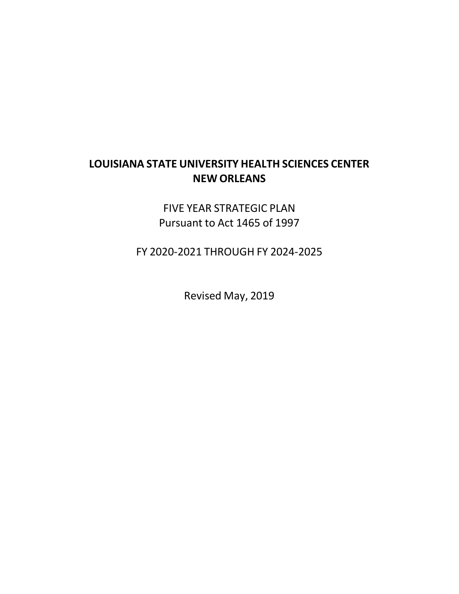# **LOUISIANA STATE UNIVERSITY HEALTH SCIENCES CENTER NEW ORLEANS**

FIVE YEAR STRATEGIC PLAN Pursuant to Act 1465 of 1997

FY 2020-2021 THROUGH FY 2024-2025

Revised May, 2019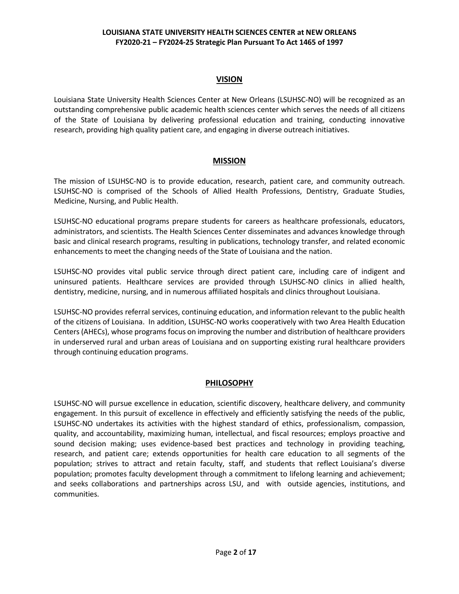# **VISION**

Louisiana State University Health Sciences Center at New Orleans (LSUHSC-NO) will be recognized as an outstanding comprehensive public academic health sciences center which serves the needs of all citizens of the State of Louisiana by delivering professional education and training, conducting innovative research, providing high quality patient care, and engaging in diverse outreach initiatives.

# **MISSION**

The mission of LSUHSC-NO is to provide education, research, patient care, and community outreach. LSUHSC-NO is comprised of the Schools of Allied Health Professions, Dentistry, Graduate Studies, Medicine, Nursing, and Public Health.

LSUHSC-NO educational programs prepare students for careers as healthcare professionals, educators, administrators, and scientists. The Health Sciences Center disseminates and advances knowledge through basic and clinical research programs, resulting in publications, technology transfer, and related economic enhancements to meet the changing needs of the State of Louisiana and the nation.

LSUHSC-NO provides vital public service through direct patient care, including care of indigent and uninsured patients. Healthcare services are provided through LSUHSC-NO clinics in allied health, dentistry, medicine, nursing, and in numerous affiliated hospitals and clinics throughout Louisiana.

LSUHSC-NO provides referral services, continuing education, and information relevant to the public health of the citizens of Louisiana. In addition, LSUHSC-NO works cooperatively with two Area Health Education Centers (AHECs), whose programs focus on improving the number and distribution of healthcare providers in underserved rural and urban areas of Louisiana and on supporting existing rural healthcare providers through continuing education programs.

# **PHILOSOPHY**

LSUHSC-NO will pursue excellence in education, scientific discovery, healthcare delivery, and community engagement. In this pursuit of excellence in effectively and efficiently satisfying the needs of the public, LSUHSC-NO undertakes its activities with the highest standard of ethics, professionalism, compassion, quality, and accountability, maximizing human, intellectual, and fiscal resources; employs proactive and sound decision making; uses evidence-based best practices and technology in providing teaching, research, and patient care; extends opportunities for health care education to all segments of the population; strives to attract and retain faculty, staff, and students that reflect Louisiana's diverse population; promotes faculty development through a commitment to lifelong learning and achievement; and seeks collaborations and partnerships across LSU, and with outside agencies, institutions, and communities.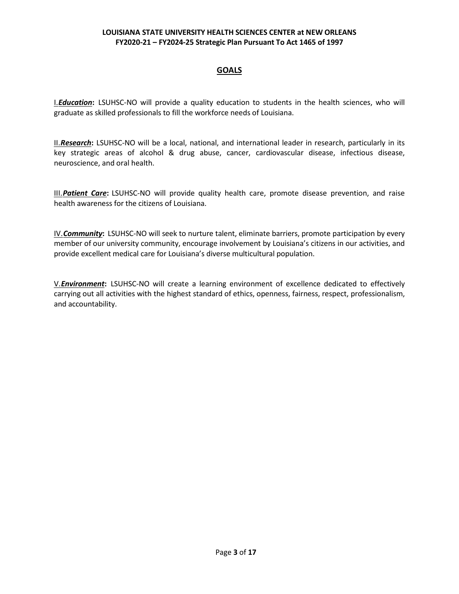# **GOALS**

I.*Education***:** LSUHSC-NO will provide a quality education to students in the health sciences, who will graduate as skilled professionals to fill the workforce needs of Louisiana.

II.*Research***:** LSUHSC-NO will be a local, national, and international leader in research, particularly in its key strategic areas of alcohol & drug abuse, cancer, cardiovascular disease, infectious disease, neuroscience, and oral health.

III.*Patient Care***:** LSUHSC-NO will provide quality health care, promote disease prevention, and raise health awareness for the citizens of Louisiana.

IV.*Community***:** LSUHSC-NO will seek to nurture talent, eliminate barriers, promote participation by every member of our university community, encourage involvement by Louisiana's citizens in our activities, and provide excellent medical care for Louisiana's diverse multicultural population.

V.*Environment***:** LSUHSC-NO will create a learning environment of excellence dedicated to effectively carrying out all activities with the highest standard of ethics, openness, fairness, respect, professionalism, and accountability.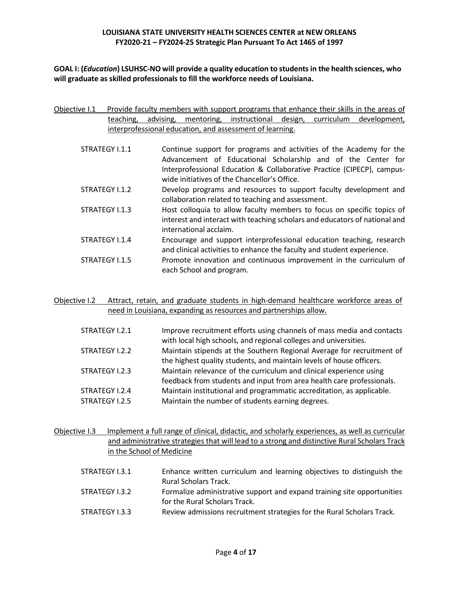**GOAL I: (***Education***) LSUHSC-NO will provide a quality education to studentsin the health sciences, who will graduate as skilled professionals to fill the workforce needs of Louisiana.**

- Objective I.1 Provide faculty members with support programs that enhance their skills in the areas of teaching, advising, mentoring, instructional design, curriculum development, interprofessional education, and assessment of learning.
	- STRATEGY I.1.1 Continue support for programs and activities of the Academy for the Advancement of Educational Scholarship and of the Center for Interprofessional Education & Collaborative Practice (CIPECP), campuswide initiatives of the Chancellor's Office.
	- STRATEGY I.1.2 Develop programs and resources to support faculty development and collaboration related to teaching and assessment.
	- STRATEGY I.1.3 Host colloquia to allow faculty members to focus on specific topics of interest and interact with teaching scholars and educators of national and international acclaim.
	- STRATEGY I.1.4 Encourage and support interprofessional education teaching, research and clinical activities to enhance the faculty and student experience.
	- STRATEGY I.1.5 Promote innovation and continuous improvement in the curriculum of each School and program.

Objective I.2 Attract, retain, and graduate students in high-demand healthcare workforce areas of need in Louisiana, expanding as resources and partnerships allow.

| STRATEGY I.2.1 | Improve recruitment efforts using channels of mass media and contacts |
|----------------|-----------------------------------------------------------------------|
|                | with local high schools, and regional colleges and universities.      |
| STRATEGY I.2.2 | Maintain stipends at the Southern Regional Average for recruitment of |
|                | the highest quality students, and maintain levels of house officers.  |
| STRATEGY I.2.3 | Maintain relevance of the curriculum and clinical experience using    |
|                | feedback from students and input from area health care professionals. |
| STRATEGY I.2.4 | Maintain institutional and programmatic accreditation, as applicable. |
| STRATEGY I.2.5 | Maintain the number of students earning degrees.                      |

Objective I.3 Implement a full range of clinical, didactic, and scholarly experiences, as well as curricular and administrative strategies that will lead to a strong and distinctive Rural Scholars Track in the School of Medicine

| STRATEGY I.3.1 | Enhance written curriculum and learning objectives to distinguish the   |
|----------------|-------------------------------------------------------------------------|
|                | <b>Rural Scholars Track.</b>                                            |
| STRATEGY I.3.2 | Formalize administrative support and expand training site opportunities |
|                | for the Rural Scholars Track.                                           |
| STRATEGY I.3.3 | Review admissions recruitment strategies for the Rural Scholars Track.  |
|                |                                                                         |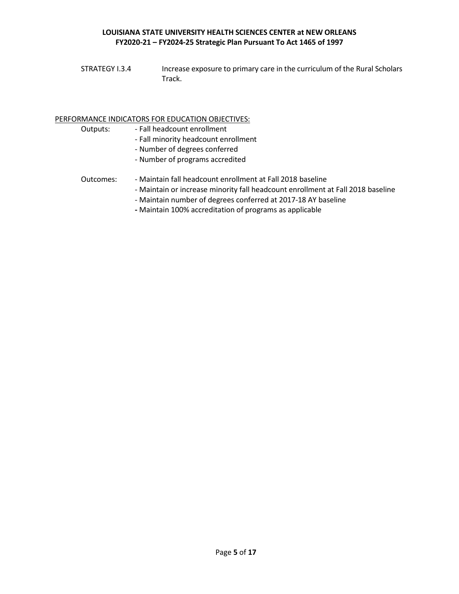STRATEGY I.3.4 Increase exposure to primary care in the curriculum of the Rural Scholars Track.

#### PERFORMANCE INDICATORS FOR EDUCATION OBJECTIVES:

- Outputs: Fall headcount enrollment
	- Fall minority headcount enrollment
	- Number of degrees conferred
	- Number of programs accredited
- Outcomes: Maintain fall headcount enrollment at Fall 2018 baseline
	- Maintain or increase minority fall headcount enrollment at Fall 2018 baseline
		- Maintain number of degrees conferred at 2017-18 AY baseline
		- **-** Maintain 100% accreditation of programs as applicable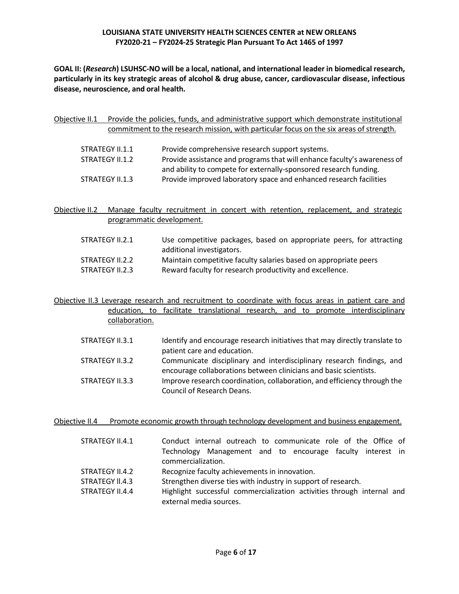**GOAL II: (***Research***) LSUHSC-NO will be a local, national, and international leader in biomedical research, particularly in its key strategic areas of alcohol & drug abuse, cancer, cardiovascular disease, infectious disease, neuroscience, and oral health.**

| Objective II.1 |                 | Provide the policies, funds, and administrative support which demonstrate institutional<br>commitment to the research mission, with particular focus on the six areas of strength. |
|----------------|-----------------|------------------------------------------------------------------------------------------------------------------------------------------------------------------------------------|
|                | STRATEGY II.1.1 | Provide comprehensive research support systems.                                                                                                                                    |
|                | STRATEGY II.1.2 | Provide assistance and programs that will enhance faculty's awareness of<br>and ability to compete for externally-sponsored research funding.                                      |
|                | STRATEGY II.1.3 | Provide improved laboratory space and enhanced research facilities                                                                                                                 |

Objective II.2 Manage faculty recruitment in concert with retention, replacement, and strategic programmatic development.

| STRATEGY II.2.1 | Use competitive packages, based on appropriate peers, for attracting<br>additional investigators. |
|-----------------|---------------------------------------------------------------------------------------------------|
| STRATEGY II.2.2 | Maintain competitive faculty salaries based on appropriate peers                                  |
| STRATEGY II.2.3 | Reward faculty for research productivity and excellence.                                          |

Objective II.3 Leverage research and recruitment to coordinate with focus areas in patient care and education, to facilitate translational research, and to promote interdisciplinary collaboration.

| STRATEGY II.3.1 | Identify and encourage research initiatives that may directly translate to |
|-----------------|----------------------------------------------------------------------------|
|                 | patient care and education.                                                |
| STRATEGY II.3.2 | Communicate disciplinary and interdisciplinary research findings, and      |
|                 | encourage collaborations between clinicians and basic scientists.          |
| STRATEGY II.3.3 | Improve research coordination, collaboration, and efficiency through the   |
|                 | Council of Research Deans.                                                 |

Objective II.4 Promote economic growth through technology development and business engagement.

| STRATEGY II.4.1 | Conduct internal outreach to communicate role of the Office of         |  |  |  |  |
|-----------------|------------------------------------------------------------------------|--|--|--|--|
|                 | Technology Management and to encourage faculty interest in             |  |  |  |  |
|                 | commercialization.                                                     |  |  |  |  |
| STRATEGY II.4.2 | Recognize faculty achievements in innovation.                          |  |  |  |  |
| STRATEGY II.4.3 | Strengthen diverse ties with industry in support of research.          |  |  |  |  |
| STRATEGY II.4.4 | Highlight successful commercialization activities through internal and |  |  |  |  |
|                 | external media sources.                                                |  |  |  |  |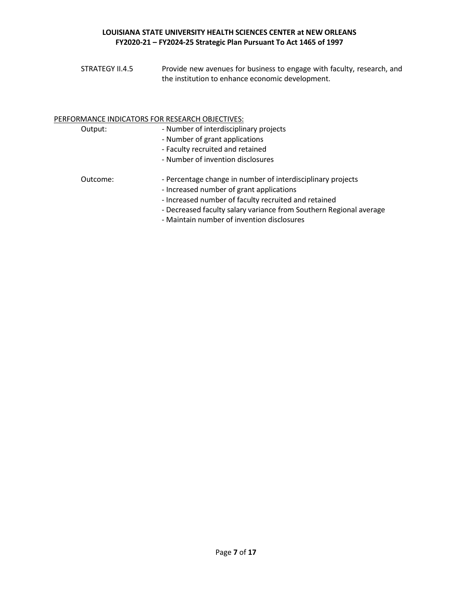| STRATEGY II.4.5 | Provide new avenues for business to engage with faculty, research, and |
|-----------------|------------------------------------------------------------------------|
|                 | the institution to enhance economic development.                       |

# PERFORMANCE INDICATORS FOR RESEARCH OBJECTIVES:

| Output:  | - Number of interdisciplinary projects<br>- Number of grant applications<br>- Faculty recruited and retained<br>- Number of invention disclosures                                                                                                                                   |
|----------|-------------------------------------------------------------------------------------------------------------------------------------------------------------------------------------------------------------------------------------------------------------------------------------|
| Outcome: | - Percentage change in number of interdisciplinary projects<br>- Increased number of grant applications<br>- Increased number of faculty recruited and retained<br>- Decreased faculty salary variance from Southern Regional average<br>- Maintain number of invention disclosures |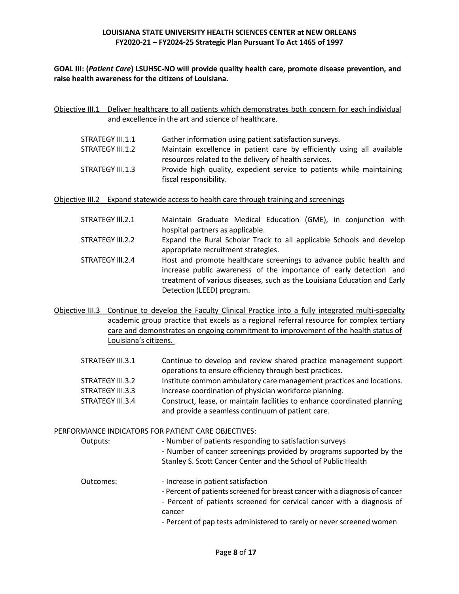**GOAL III: (***Patient Care***) LSUHSC-NO will provide quality health care, promote disease prevention, and raise health awareness for the citizens of Louisiana.**

Objective III.1 Deliver healthcare to all patients which demonstrates both concern for each individual and excellence in the art and science of healthcare.

| STRATEGY III.1.1 | Gather information using patient satisfaction surveys.                 |
|------------------|------------------------------------------------------------------------|
| STRATEGY III.1.2 | Maintain excellence in patient care by efficiently using all available |
|                  | resources related to the delivery of health services.                  |
| STRATEGY III.1.3 | Provide high quality, expedient service to patients while maintaining  |
|                  | fiscal responsibility.                                                 |

Objective III.2 Expand statewide access to health care through training and screenings

| STRATEGY III.2.1 | Maintain Graduate Medical Education (GME), in conjunction with           |
|------------------|--------------------------------------------------------------------------|
|                  | hospital partners as applicable.                                         |
| STRATEGY III.2.2 | Expand the Rural Scholar Track to all applicable Schools and develop     |
|                  | appropriate recruitment strategies.                                      |
| STRATEGY III.2.4 | Host and promote healthcare screenings to advance public health and      |
|                  | increase public awareness of the importance of early detection and       |
|                  | treatment of various diseases, such as the Louisiana Education and Early |
|                  | Detection (LEED) program.                                                |

- Objective III.3 Continue to develop the Faculty Clinical Practice into a fully integrated multi-specialty academic group practice that excels as a regional referral resource for complex tertiary care and demonstrates an ongoing commitment to improvement of the health status of Louisiana's citizens.
	- STRATEGY III.3.1 Continue to develop and review shared practice management support operations to ensure efficiency through best practices. STRATEGY III.3.2 Institute common ambulatory care management practices and locations. STRATEGY III.3.3 Increase coordination of physician workforce planning. STRATEGY III.3.4 Construct, lease, or maintain facilities to enhance coordinated planning and provide a seamless continuum of patient care.

PERFORMANCE INDICATORS FOR PATIENT CARE OBJECTIVES: Outputs:  $\blacksquare$  - Number of patients responding to satisfaction surveys - Number of cancer screenings provided by programs supported by the Stanley S. Scott Cancer Center and the School of Public Health Outcomes:  $\qquad \qquad -$  Increase in patient satisfaction - Percent of patients screened for breast cancer with a diagnosis of cancer - Percent of patients screened for cervical cancer with a diagnosis of cancer - Percent of pap tests administered to rarely or never screened women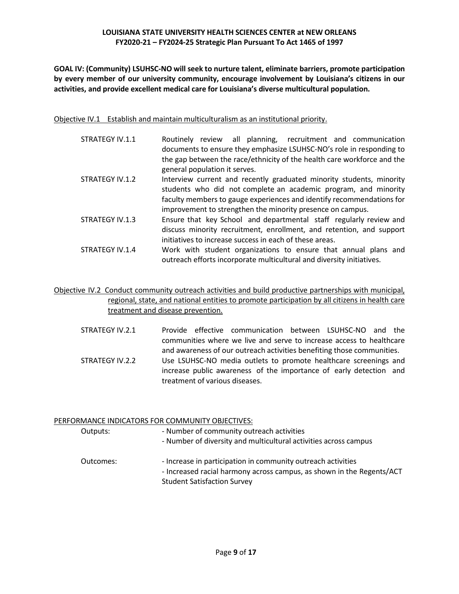**GOAL IV: (Community) LSUHSC-NO will seek to nurture talent, eliminate barriers, promote participation by every member of our university community, encourage involvement by Louisiana's citizens in our activities, and provide excellent medical care for Louisiana's diverse multicultural population.**

Objective IV.1 Establish and maintain multiculturalism as an institutional priority.

- STRATEGY IV.1.1 Routinely review all planning, recruitment and communication documents to ensure they emphasize LSUHSC-NO's role in responding to the gap between the race/ethnicity of the health care workforce and the general population it serves. STRATEGY IV.1.2 Interview current and recently graduated minority students, minority
- students who did not complete an academic program, and minority faculty members to gauge experiences and identify recommendations for improvement to strengthen the minority presence on campus.
- STRATEGY IV.1.3 Ensure that key School and departmental staff regularly review and discuss minority recruitment, enrollment, and retention, and support initiatives to increase success in each of these areas.
- STRATEGY IV.1.4 Work with student organizations to ensure that annual plans and outreach efforts incorporate multicultural and diversity initiatives.

Objective IV.2 Conduct community outreach activities and build productive partnerships with municipal, regional, state, and national entities to promote participation by all citizens in health care treatment and disease prevention.

STRATEGY IV.2.1 Provide effective communication between LSUHSC-NO and the communities where we live and serve to increase access to healthcare and awareness of our outreach activities benefiting those communities. STRATEGY IV.2.2 Use LSUHSC-NO media outlets to promote healthcare screenings and increase public awareness of the importance of early detection and treatment of various diseases.

|           | PERFORMANCE INDICATORS FOR COMMUNITY OBJECTIVES:                                                                                      |  |  |
|-----------|---------------------------------------------------------------------------------------------------------------------------------------|--|--|
| Outputs:  | - Number of community outreach activities                                                                                             |  |  |
|           | - Number of diversity and multicultural activities across campus                                                                      |  |  |
| Outcomes: | - Increase in participation in community outreach activities<br>- Increased racial harmony across campus, as shown in the Regents/ACT |  |  |
|           | <b>Student Satisfaction Survey</b>                                                                                                    |  |  |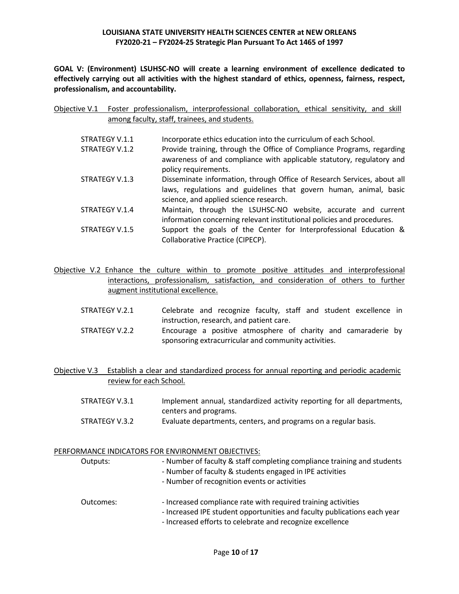**GOAL V: (Environment) LSUHSC-NO will create a learning environment of excellence dedicated to effectively carrying out all activities with the highest standard of ethics, openness, fairness, respect, professionalism, and accountability.**

|  |                                               | Objective V.1 Foster professionalism, interprofessional collaboration, ethical sensitivity, and skill |  |  |  |
|--|-----------------------------------------------|-------------------------------------------------------------------------------------------------------|--|--|--|
|  | among faculty, staff, trainees, and students. |                                                                                                       |  |  |  |

| STRATEGY V.1.1 | Incorporate ethics education into the curriculum of each School.                                                                                                                       |
|----------------|----------------------------------------------------------------------------------------------------------------------------------------------------------------------------------------|
| STRATEGY V.1.2 | Provide training, through the Office of Compliance Programs, regarding                                                                                                                 |
|                | awareness of and compliance with applicable statutory, regulatory and<br>policy requirements.                                                                                          |
| STRATEGY V.1.3 | Disseminate information, through Office of Research Services, about all<br>laws, regulations and guidelines that govern human, animal, basic<br>science, and applied science research. |
| STRATEGY V.1.4 | Maintain, through the LSUHSC-NO website, accurate and current<br>information concerning relevant institutional policies and procedures.                                                |
| STRATEGY V.1.5 | Support the goals of the Center for Interprofessional Education &<br>Collaborative Practice (CIPECP).                                                                                  |

Objective V.2 Enhance the culture within to promote positive attitudes and interprofessional interactions, professionalism, satisfaction, and consideration of others to further augment institutional excellence.

- STRATEGY V.2.1 Celebrate and recognize faculty, staff and student excellence in instruction, research, and patient care.
- STRATEGY V.2.2 Encourage a positive atmosphere of charity and camaraderie by sponsoring extracurricular and community activities.
- Objective V.3 Establish a clear and standardized process for annual reporting and periodic academic review for each School.
	- STRATEGY V.3.1 Implement annual, standardized activity reporting for all departments, centers and programs. STRATEGY V.3.2 Evaluate departments, centers, and programs on a regular basis.

### PERFORMANCE INDICATORS FOR ENVIRONMENT OBJECTIVES:

| Outputs:  | - Number of faculty & staff completing compliance training and students<br>- Number of faculty & students engaged in IPE activities<br>- Number of recognition events or activities                    |
|-----------|--------------------------------------------------------------------------------------------------------------------------------------------------------------------------------------------------------|
| Outcomes: | - Increased compliance rate with required training activities<br>- Increased IPE student opportunities and faculty publications each year<br>- Increased efforts to celebrate and recognize excellence |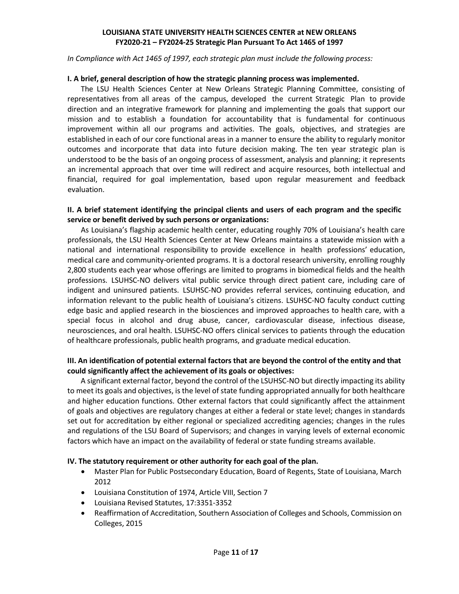*In Compliance with Act 1465 of 1997, each strategic plan must include the following process:*

### **I. A brief, general description of how the strategic planning process was implemented.**

The LSU Health Sciences Center at New Orleans Strategic Planning Committee, consisting of representatives from all areas of the campus, developed the current Strategic Plan to provide direction and an integrative framework for planning and implementing the goals that support our mission and to establish a foundation for accountability that is fundamental for continuous improvement within all our programs and activities. The goals, objectives, and strategies are established in each of our core functional areas in a manner to ensure the ability to regularly monitor outcomes and incorporate that data into future decision making. The ten year strategic plan is understood to be the basis of an ongoing process of assessment, analysis and planning; it represents an incremental approach that over time will redirect and acquire resources, both intellectual and financial, required for goal implementation, based upon regular measurement and feedback evaluation.

# **II. A brief statement identifying the principal clients and users of each program and the specific service or benefit derived by such persons or organizations:**

As Louisiana's flagship academic health center, educating roughly 70% of Louisiana's health care professionals, the LSU Health Sciences Center at New Orleans maintains a statewide mission with a national and international responsibility to provide excellence in health professions' education, medical care and community-oriented programs. It is a doctoral research university, enrolling roughly 2,800 students each year whose offerings are limited to programs in biomedical fields and the health professions. LSUHSC-NO delivers vital public service through direct patient care, including care of indigent and uninsured patients. LSUHSC-NO provides referral services, continuing education, and information relevant to the public health of Louisiana's citizens. LSUHSC-NO faculty conduct cutting edge basic and applied research in the biosciences and improved approaches to health care, with a special focus in alcohol and drug abuse, cancer, cardiovascular disease, infectious disease, neurosciences, and oral health. LSUHSC-NO offers clinical services to patients through the education of healthcare professionals, public health programs, and graduate medical education.

# **III. An identification of potential external factors that are beyond the control of the entity and that could significantly affect the achievement of its goals or objectives:**

A significant external factor, beyond the control of the LSUHSC-NO but directly impacting its ability to meet its goals and objectives, is the level of state funding appropriated annually for both healthcare and higher education functions. Other external factors that could significantly affect the attainment of goals and objectives are regulatory changes at either a federal or state level; changes in standards set out for accreditation by either regional or specialized accrediting agencies; changes in the rules and regulations of the LSU Board of Supervisors; and changes in varying levels of external economic factors which have an impact on the availability of federal or state funding streams available.

### **IV. The statutory requirement or other authority for each goal of the plan.**

- Master Plan for Public Postsecondary Education, Board of Regents, State of Louisiana, March 2012
- Louisiana Constitution of 1974, Article VIII, Section 7
- Louisiana Revised Statutes, 17:3351-3352
- Reaffirmation of Accreditation, Southern Association of Colleges and Schools, Commission on Colleges, 2015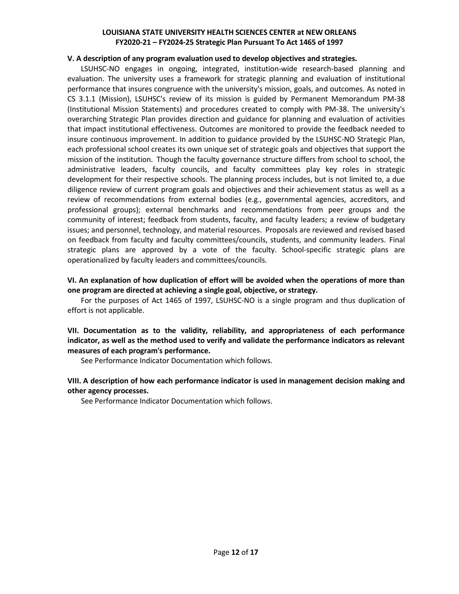#### **V. A description of any program evaluation used to develop objectives and strategies.**

LSUHSC-NO engages in ongoing, integrated, institution-wide research-based planning and evaluation. The university uses a framework for strategic planning and evaluation of institutional performance that insures congruence with the university's mission, goals, and outcomes. As noted in CS 3.1.1 (Mission), LSUHSC's review of its mission is guided by Permanent Memorandum PM-38 (Institutional Mission Statements) and procedures created to comply with PM-38. The university's overarching Strategic Plan provides direction and guidance for planning and evaluation of activities that impact institutional effectiveness. Outcomes are monitored to provide the feedback needed to insure continuous improvement. In addition to guidance provided by the LSUHSC-NO Strategic Plan, each professional school creates its own unique set of strategic goals and objectives that support the mission of the institution. Though the faculty governance structure differs from school to school, the administrative leaders, faculty councils, and faculty committees play key roles in strategic development for their respective schools. The planning process includes, but is not limited to, a due diligence review of current program goals and objectives and their achievement status as well as a review of recommendations from external bodies (e.g., governmental agencies, accreditors, and professional groups); external benchmarks and recommendations from peer groups and the community of interest; feedback from students, faculty, and faculty leaders; a review of budgetary issues; and personnel, technology, and material resources. Proposals are reviewed and revised based on feedback from faculty and faculty committees/councils, students, and community leaders. Final strategic plans are approved by a vote of the faculty. School-specific strategic plans are operationalized by faculty leaders and committees/councils.

# **VI. An explanation of how duplication of effort will be avoided when the operations of more than one program are directed at achieving a single goal, objective, or strategy.**

For the purposes of Act 1465 of 1997, LSUHSC-NO is a single program and thus duplication of effort is not applicable.

# **VII. Documentation as to the validity, reliability, and appropriateness of each performance indicator, as well as the method used to verify and validate the performance indicators as relevant measures of each program's performance.**

See Performance Indicator Documentation which follows.

# **VIII. A description of how each performance indicator is used in management decision making and other agency processes.**

See Performance Indicator Documentation which follows.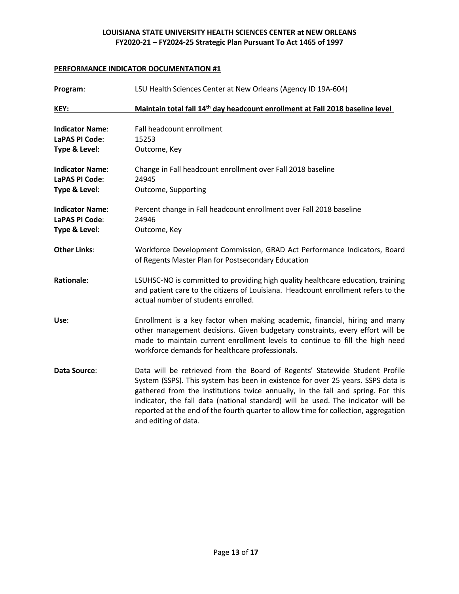| Program:                                                         | LSU Health Sciences Center at New Orleans (Agency ID 19A-604)                                                                                                                                                                                                                                                                                                                                                                                         |  |
|------------------------------------------------------------------|-------------------------------------------------------------------------------------------------------------------------------------------------------------------------------------------------------------------------------------------------------------------------------------------------------------------------------------------------------------------------------------------------------------------------------------------------------|--|
| KEY:                                                             | Maintain total fall 14 <sup>th</sup> day headcount enrollment at Fall 2018 baseline level                                                                                                                                                                                                                                                                                                                                                             |  |
| <b>Indicator Name:</b><br><b>LaPAS PI Code:</b><br>Type & Level: | Fall headcount enrollment<br>15253<br>Outcome, Key                                                                                                                                                                                                                                                                                                                                                                                                    |  |
| <b>Indicator Name:</b><br>LaPAS PI Code:<br>Type & Level:        | Change in Fall headcount enrollment over Fall 2018 baseline<br>24945<br>Outcome, Supporting                                                                                                                                                                                                                                                                                                                                                           |  |
| <b>Indicator Name:</b><br>LaPAS PI Code:<br>Type & Level:        | Percent change in Fall headcount enrollment over Fall 2018 baseline<br>24946<br>Outcome, Key                                                                                                                                                                                                                                                                                                                                                          |  |
| <b>Other Links:</b>                                              | Workforce Development Commission, GRAD Act Performance Indicators, Board<br>of Regents Master Plan for Postsecondary Education                                                                                                                                                                                                                                                                                                                        |  |
| <b>Rationale:</b>                                                | LSUHSC-NO is committed to providing high quality healthcare education, training<br>and patient care to the citizens of Louisiana. Headcount enrollment refers to the<br>actual number of students enrolled.                                                                                                                                                                                                                                           |  |
| Use:                                                             | Enrollment is a key factor when making academic, financial, hiring and many<br>other management decisions. Given budgetary constraints, every effort will be<br>made to maintain current enrollment levels to continue to fill the high need<br>workforce demands for healthcare professionals.                                                                                                                                                       |  |
| Data Source:                                                     | Data will be retrieved from the Board of Regents' Statewide Student Profile<br>System (SSPS). This system has been in existence for over 25 years. SSPS data is<br>gathered from the institutions twice annually, in the fall and spring. For this<br>indicator, the fall data (national standard) will be used. The indicator will be<br>reported at the end of the fourth quarter to allow time for collection, aggregation<br>and editing of data. |  |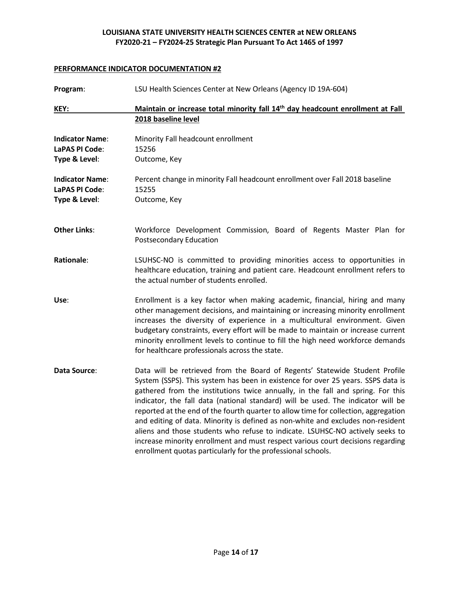| Program:                                                  | LSU Health Sciences Center at New Orleans (Agency ID 19A-604)                                                                                                                                                                                                                                                                                                                                                                                                                                                                                                                                                                                                                                                                                        |
|-----------------------------------------------------------|------------------------------------------------------------------------------------------------------------------------------------------------------------------------------------------------------------------------------------------------------------------------------------------------------------------------------------------------------------------------------------------------------------------------------------------------------------------------------------------------------------------------------------------------------------------------------------------------------------------------------------------------------------------------------------------------------------------------------------------------------|
| KEY:                                                      | Maintain or increase total minority fall 14 <sup>th</sup> day headcount enrollment at Fall                                                                                                                                                                                                                                                                                                                                                                                                                                                                                                                                                                                                                                                           |
|                                                           | 2018 baseline level                                                                                                                                                                                                                                                                                                                                                                                                                                                                                                                                                                                                                                                                                                                                  |
| <b>Indicator Name:</b><br>LaPAS PI Code:                  | Minority Fall headcount enrollment<br>15256                                                                                                                                                                                                                                                                                                                                                                                                                                                                                                                                                                                                                                                                                                          |
| Type & Level:                                             | Outcome, Key                                                                                                                                                                                                                                                                                                                                                                                                                                                                                                                                                                                                                                                                                                                                         |
| <b>Indicator Name:</b><br>LaPAS PI Code:<br>Type & Level: | Percent change in minority Fall headcount enrollment over Fall 2018 baseline<br>15255<br>Outcome, Key                                                                                                                                                                                                                                                                                                                                                                                                                                                                                                                                                                                                                                                |
|                                                           |                                                                                                                                                                                                                                                                                                                                                                                                                                                                                                                                                                                                                                                                                                                                                      |
| <b>Other Links:</b>                                       | Workforce Development Commission, Board of Regents Master Plan for<br>Postsecondary Education                                                                                                                                                                                                                                                                                                                                                                                                                                                                                                                                                                                                                                                        |
| <b>Rationale:</b>                                         | LSUHSC-NO is committed to providing minorities access to opportunities in<br>healthcare education, training and patient care. Headcount enrollment refers to<br>the actual number of students enrolled.                                                                                                                                                                                                                                                                                                                                                                                                                                                                                                                                              |
| Use:                                                      | Enrollment is a key factor when making academic, financial, hiring and many<br>other management decisions, and maintaining or increasing minority enrollment<br>increases the diversity of experience in a multicultural environment. Given<br>budgetary constraints, every effort will be made to maintain or increase current<br>minority enrollment levels to continue to fill the high need workforce demands<br>for healthcare professionals across the state.                                                                                                                                                                                                                                                                                  |
| Data Source:                                              | Data will be retrieved from the Board of Regents' Statewide Student Profile<br>System (SSPS). This system has been in existence for over 25 years. SSPS data is<br>gathered from the institutions twice annually, in the fall and spring. For this<br>indicator, the fall data (national standard) will be used. The indicator will be<br>reported at the end of the fourth quarter to allow time for collection, aggregation<br>and editing of data. Minority is defined as non-white and excludes non-resident<br>aliens and those students who refuse to indicate. LSUHSC-NO actively seeks to<br>increase minority enrollment and must respect various court decisions regarding<br>enrollment quotas particularly for the professional schools. |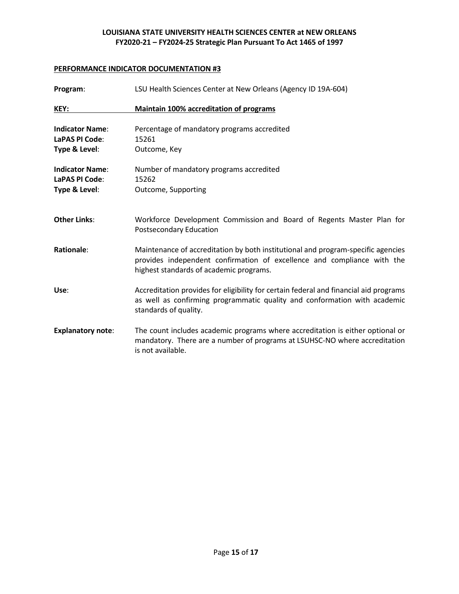| Program:                                                  | LSU Health Sciences Center at New Orleans (Agency ID 19A-604)                                                                                                                                          |
|-----------------------------------------------------------|--------------------------------------------------------------------------------------------------------------------------------------------------------------------------------------------------------|
| KEY:                                                      | <b>Maintain 100% accreditation of programs</b>                                                                                                                                                         |
| <b>Indicator Name:</b><br>LaPAS PI Code:<br>Type & Level: | Percentage of mandatory programs accredited<br>15261<br>Outcome, Key                                                                                                                                   |
| <b>Indicator Name:</b><br>LaPAS PI Code:<br>Type & Level: | Number of mandatory programs accredited<br>15262<br>Outcome, Supporting                                                                                                                                |
| <b>Other Links:</b>                                       | Workforce Development Commission and Board of Regents Master Plan for<br><b>Postsecondary Education</b>                                                                                                |
| <b>Rationale:</b>                                         | Maintenance of accreditation by both institutional and program-specific agencies<br>provides independent confirmation of excellence and compliance with the<br>highest standards of academic programs. |
| Use:                                                      | Accreditation provides for eligibility for certain federal and financial aid programs<br>as well as confirming programmatic quality and conformation with academic<br>standards of quality.            |
| <b>Explanatory note:</b>                                  | The count includes academic programs where accreditation is either optional or<br>mandatory. There are a number of programs at LSUHSC-NO where accreditation<br>is not available.                      |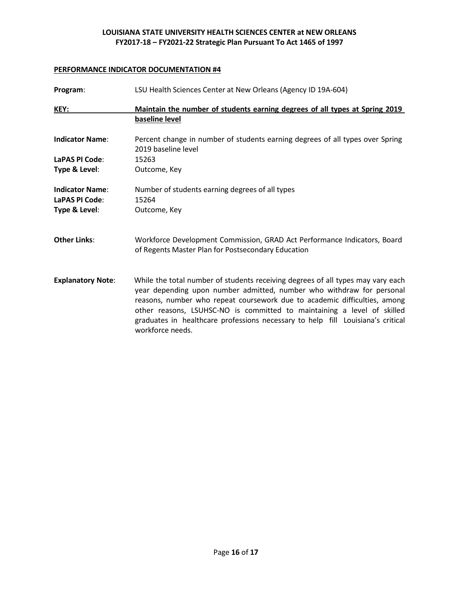| Program:                                 | LSU Health Sciences Center at New Orleans (Agency ID 19A-604)                                                                                                                                                                                                                                                                                                                                                           |
|------------------------------------------|-------------------------------------------------------------------------------------------------------------------------------------------------------------------------------------------------------------------------------------------------------------------------------------------------------------------------------------------------------------------------------------------------------------------------|
| KEY:                                     | Maintain the number of students earning degrees of all types at Spring 2019<br>baseline level                                                                                                                                                                                                                                                                                                                           |
| <b>Indicator Name:</b>                   | Percent change in number of students earning degrees of all types over Spring<br>2019 baseline level                                                                                                                                                                                                                                                                                                                    |
| LaPAS PI Code:                           | 15263                                                                                                                                                                                                                                                                                                                                                                                                                   |
| Type & Level:                            | Outcome, Key                                                                                                                                                                                                                                                                                                                                                                                                            |
| <b>Indicator Name:</b><br>LaPAS PI Code: | Number of students earning degrees of all types<br>15264                                                                                                                                                                                                                                                                                                                                                                |
| Type & Level:                            | Outcome, Key                                                                                                                                                                                                                                                                                                                                                                                                            |
| <b>Other Links:</b>                      | Workforce Development Commission, GRAD Act Performance Indicators, Board<br>of Regents Master Plan for Postsecondary Education                                                                                                                                                                                                                                                                                          |
| <b>Explanatory Note:</b>                 | While the total number of students receiving degrees of all types may vary each<br>year depending upon number admitted, number who withdraw for personal<br>reasons, number who repeat coursework due to academic difficulties, among<br>other reasons, LSUHSC-NO is committed to maintaining a level of skilled<br>graduates in healthcare professions necessary to help fill Louisiana's critical<br>workforce needs. |